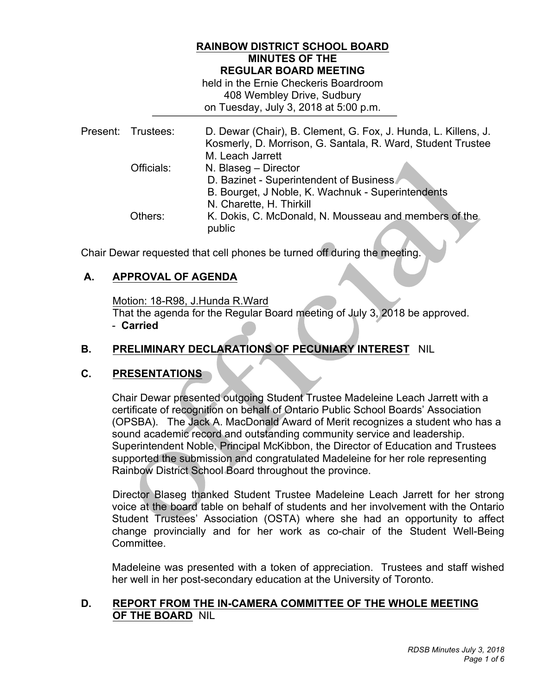### **RAINBOW DISTRICT SCHOOL BOARD MINUTES OF THE REGULAR BOARD MEETING**

 held in the Ernie Checkeris Boardroom 408 Wembley Drive, Sudbury on Tuesday, July 3, 2018 at 5:00 p.m.

|         | D. Dewar (Chair), B. Clement, G. Fox, J. Hunda, L. Killens, J.<br>Kosmerly, D. Morrison, G. Santala, R. Ward, Student Trustee<br>M. Leach Jarrett |
|---------|---------------------------------------------------------------------------------------------------------------------------------------------------|
|         | N. Blaseg - Director                                                                                                                              |
|         | D. Bazinet - Superintendent of Business                                                                                                           |
|         | B. Bourget, J Noble, K. Wachnuk - Superintendents                                                                                                 |
|         | N. Charette, H. Thirkill                                                                                                                          |
| Others: | K. Dokis, C. McDonald, N. Mousseau and members of the<br>public                                                                                   |
|         | Present: Trustees:<br>Officials:                                                                                                                  |

Chair Dewar requested that cell phones be turned off during the meeting.

# **A. APPROVAL OF AGENDA**

Motion: 18-R98, J.Hunda R.Ward

 That the agenda for the Regular Board meeting of July 3, 2018 be approved. - **Carried** 

# **B. PRELIMINARY DECLARATIONS OF PECUNIARY INTEREST** NIL

# **C. PRESENTATIONS**

 Chair Dewar presented outgoing Student Trustee Madeleine Leach Jarrett with a certificate of recognition on behalf of Ontario Public School Boards' Association (OPSBA). The Jack A. MacDonald Award of Merit recognizes a student who has a sound academic record and outstanding community service and leadership. Superintendent Noble, Principal McKibbon, the Director of Education and Trustees supported the submission and congratulated Madeleine for her role representing Rainbow District School Board throughout the province.

 Director Blaseg thanked Student Trustee Madeleine Leach Jarrett for her strong voice at the board table on behalf of students and her involvement with the Ontario Student Trustees' Association (OSTA) where she had an opportunity to affect change provincially and for her work as co-chair of the Student Well-Being Committee.

 Madeleine was presented with a token of appreciation. Trustees and staff wished her well in her post-secondary education at the University of Toronto.

### **D. REPORT FROM THE IN-CAMERA COMMITTEE OF THE WHOLE MEETING OF THE BOARD** NIL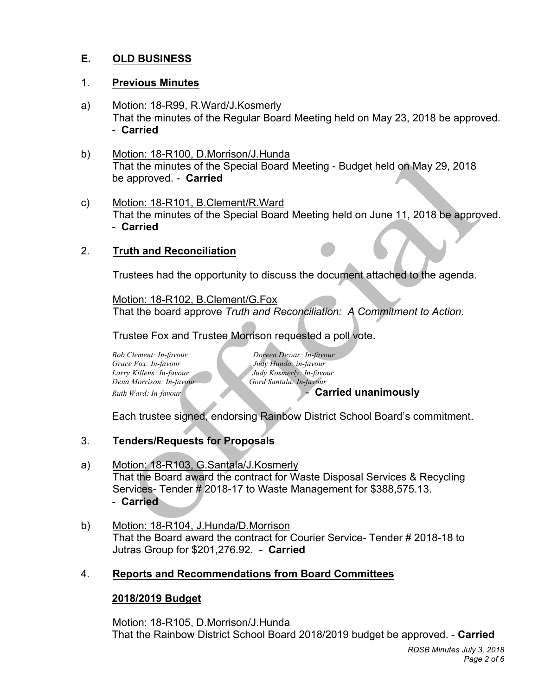#### **E. OLD BUSINESS**

### 1. **Previous Minutes**

- a) Motion: 18-R99, R.Ward/J.Kosmerly That the minutes of the Regular Board Meeting held on May 23, 2018 be approved. - **Carried**
- That the minutes of the Special Board Meeting Budget held on May 29, 2018 be approved. - **Carried**  b) Motion: 18-R100, D.Morrison/J.Hunda
- That the minutes of the Special Board Meeting held on June 11, 2018 be approved. - **Carried**  c) Motion: 18-R101, B.Clement/R.Ward

# 2. **Truth and Reconciliation**

Trustees had the opportunity to discuss the document attached to the agenda.

 That the board approve *Truth and Reconciliation: A Commitment to Action*. Motion: 18-R102, B.Clement/G.Fox

Trustee Fox and Trustee Morrison requested a poll vote.

*Bob Clement: In-favour* Grace Fox: In-favour  *Dena Morrison: In-favour* Gord Santala: In-favour **Ruth Ward: In-favour** *Larry Killens: In-favour Judy Kosmerly: In-favour*

*Bob Clement: In-favour Doreen Dewar: In-favour Grace Fox: In-favour Judy Hunda: in-favour*

**Carried unanimously** 

Each trustee signed, endorsing Rainbow District School Board's commitment.

# 3. **Tenders/Requests for Proposals**

- Services- Tender # 2018-17 to Waste Management for \$388,575.13. - **Carried**  a) Motion: 18-R103, G.Santala/J.Kosmerly That the Board award the contract for Waste Disposal Services & Recycling
- That the Board award the contract for Courier Service- Tender # 2018-18 to Jutras Group for \$201,276.92. - **Carried**  b) Motion: 18-R104, J.Hunda/D.Morrison

# 4. **Reports and Recommendations from Board Committees**

# **2018/2019 Budget**

Motion: 18-R105, D.Morrison/J.Hunda That the Rainbow District School Board 2018/2019 budget be approved. - **Carried**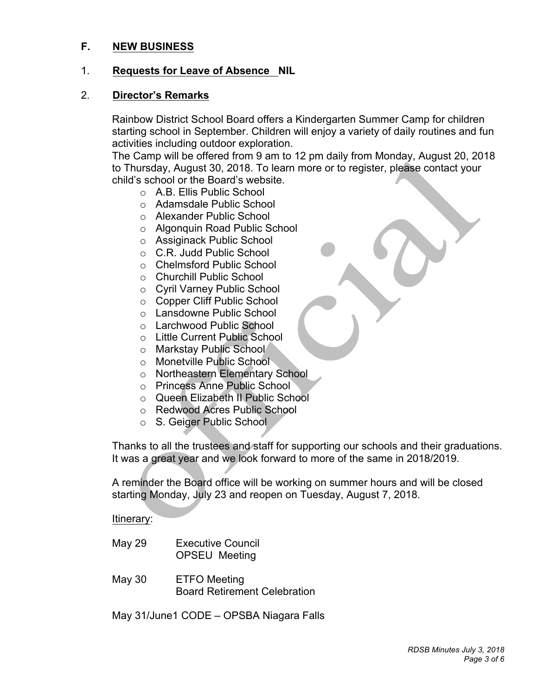#### $F_{\perp}$ **F. NEW BUSINESS**

### 1. **Requests for Leave of Absence NIL**

#### 2. **Director's Remarks**

 Rainbow District School Board offers a Kindergarten Summer Camp for children starting school in September. Children will enjoy a variety of daily routines and fun activities including outdoor exploration.

activities including outdoor exploration.<br>The Camp will be offered from 9 am to 12 pm daily from Monday, August 20, 2018 to Thursday, August 30, 2018. To learn more or to register, please contact your child's school or the Board's website.

- o A.B. Ellis Public School
- o Adamsdale Public School
- o Alexander Public School
- o Algonquin Road Public School
- o Assiginack Public School
- o C.R. Judd Public School
- o Chelmsford Public School
- o Churchill Public School
- o Cyril Varney Public School
- o Copper Cliff Public School
- o Lansdowne Public School
- o Larchwood Public School
- o Little Current Public School
- o Markstay Public School
- o Monetville Public School
- o Northeastern Elementary School
- o Princess Anne Public School
- o Queen Elizabeth II Public School
- o Redwood Acres Public School
- o S. Geiger Public School

 Thanks to all the trustees and staff for supporting our schools and their graduations. It was a great year and we look forward to more of the same in 2018/2019.

 A reminder the Board office will be working on summer hours and will be closed starting Monday, July 23 and reopen on Tuesday, August 7, 2018.

Itinerary:

- May 29 Executive Council OPSEU Meeting
- May 30 ETFO Meeting Board Retirement Celebration

May 31/June1 CODE – OPSBA Niagara Falls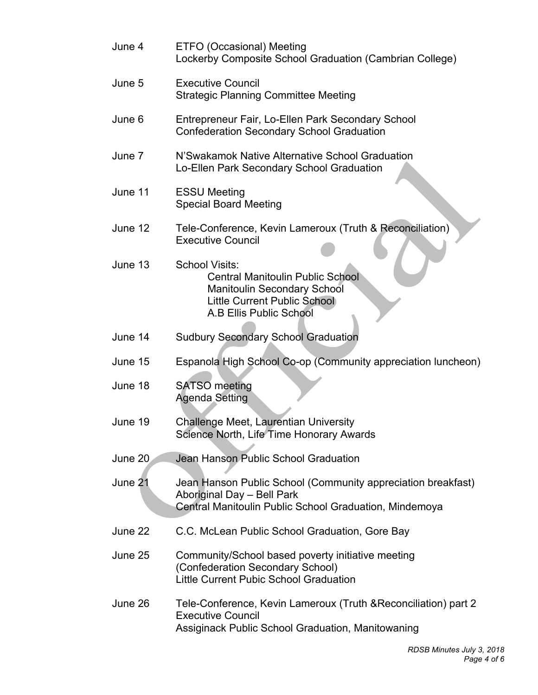| June 4  | ETFO (Occasional) Meeting<br>Lockerby Composite School Graduation (Cambrian College)                                                                       |
|---------|------------------------------------------------------------------------------------------------------------------------------------------------------------|
| June 5  | <b>Executive Council</b><br><b>Strategic Planning Committee Meeting</b>                                                                                    |
| June 6  | Entrepreneur Fair, Lo-Ellen Park Secondary School<br><b>Confederation Secondary School Graduation</b>                                                      |
| June 7  | N'Swakamok Native Alternative School Graduation<br>Lo-Ellen Park Secondary School Graduation                                                               |
| June 11 | <b>ESSU Meeting</b><br><b>Special Board Meeting</b>                                                                                                        |
| June 12 | Tele-Conference, Kevin Lameroux (Truth & Reconciliation)<br><b>Executive Council</b>                                                                       |
| June 13 | School Visits:<br><b>Central Manitoulin Public School</b><br>Manitoulin Secondary School<br><b>Little Current Public School</b><br>A.B Ellis Public School |
| June 14 | <b>Sudbury Secondary School Graduation</b>                                                                                                                 |
| June 15 | Espanola High School Co-op (Community appreciation luncheon)                                                                                               |
| June 18 | <b>SATSO</b> meeting<br><b>Agenda Setting</b>                                                                                                              |
| June 19 | <b>Challenge Meet, Laurentian University</b><br>Science North, Life Time Honorary Awards                                                                   |
| June 20 | Jean Hanson Public School Graduation                                                                                                                       |
| June 21 | Jean Hanson Public School (Community appreciation breakfast)<br>Aboriginal Day - Bell Park<br>Central Manitoulin Public School Graduation, Mindemoya       |
| June 22 | C.C. McLean Public School Graduation, Gore Bay                                                                                                             |
| June 25 | Community/School based poverty initiative meeting<br>(Confederation Secondary School)<br>Little Current Pubic School Graduation                            |
| June 26 | Tele-Conference, Kevin Lameroux (Truth & Reconciliation) part 2<br><b>Executive Council</b><br>Assiginack Public School Graduation, Manitowaning           |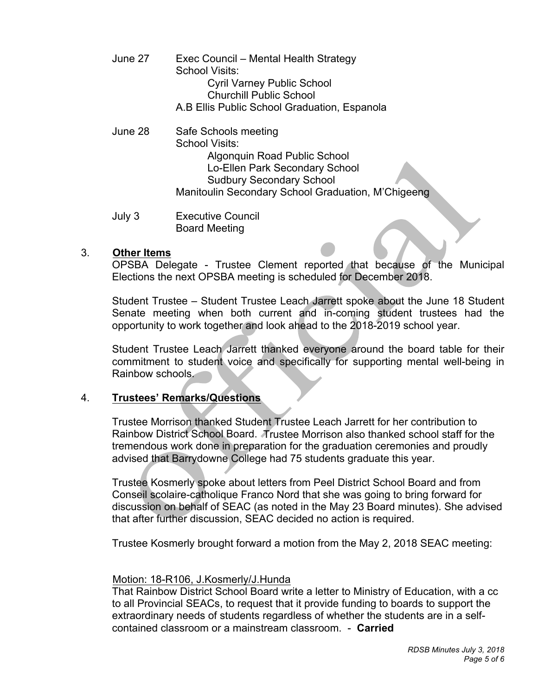- June 27 Exec Council – Mental Health Strategy School Visits: Cyril Varney Public School Churchill Public School A.B Ellis Public School Graduation, Espanola
- June 28 Safe Schools meeting School Visits: Algonquin Road Public School Lo-Ellen Park Secondary School Sudbury Secondary School Manitoulin Secondary School Graduation, M'Chigeeng
- July 3 **Executive Council** Board Meeting

### 3. **Other Items**

 OPSBA Delegate - Trustee Clement reported that because of the Municipal Elections the next OPSBA meeting is scheduled for December 2018.

 Student Trustee – Student Trustee Leach Jarrett spoke about the June 18 Student Senate meeting when both current and in-coming student trustees had the opportunity to work together and look ahead to the 2018-2019 school year.

 Student Trustee Leach Jarrett thanked everyone around the board table for their commitment to student voice and specifically for supporting mental well-being in Rainbow schools.

#### $4<sup>1</sup>$ 4. **Trustees' Remarks/Questions**

 Trustee Morrison thanked Student Trustee Leach Jarrett for her contribution to Rainbow District School Board. Trustee Morrison also thanked school staff for the tremendous work done in preparation for the graduation ceremonies and proudly advised that Barrydowne College had 75 students graduate this year.

 Trustee Kosmerly spoke about letters from Peel District School Board and from Conseil scolaire-catholique Franco Nord that she was going to bring forward for discussion on behalf of SEAC (as noted in the May 23 Board minutes). She advised that after further discussion, SEAC decided no action is required.

Trustee Kosmerly brought forward a motion from the May 2, 2018 SEAC meeting:

#### Motion: 18-R106, J.Kosmerly/J.Hunda

 That Rainbow District School Board write a letter to Ministry of Education, with a cc to all Provincial SEACs, to request that it provide funding to boards to support the extraordinary needs of students regardless of whether the students are in a self-contained classroom or a mainstream classroom. - **Carried**